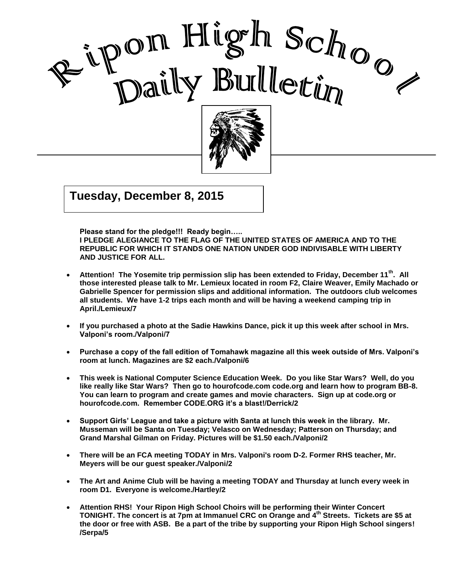



## $\overline{\phantom{0}}$ Good Morning Ripon High **Tuesday, December 8, 2015**

**Please stand for the pledge!!! Ready begin….. I PLEDGE ALEGIANCE TO THE FLAG OF THE UNITED STATES OF AMERICA AND TO THE REPUBLIC FOR WHICH IT STANDS ONE NATION UNDER GOD INDIVISABLE WITH LIBERTY AND JUSTICE FOR ALL.**

I

- **Attention! The Yosemite trip permission slip has been extended to Friday, December 11th. All those interested please talk to Mr. Lemieux located in room F2, Claire Weaver, Emily Machado or Gabrielle Spencer for permission slips and additional information. The outdoors club welcomes all students. We have 1-2 trips each month and will be having a weekend camping trip in April./Lemieux/7**
- **If you purchased a photo at the Sadie Hawkins Dance, pick it up this week after school in Mrs. Valponi's room./Valponi/7**
- **Purchase a copy of the fall edition of Tomahawk magazine all this week outside of Mrs. Valponi's room at lunch. Magazines are \$2 each./Valponi/6**
- **This week is National Computer Science Education Week. Do you like Star Wars? Well, do you like really like Star Wars? Then go to hourofcode.com code.org and learn how to program BB-8. You can learn to program and create games and movie characters. Sign up at code.org or hourofcode.com. Remember CODE.ORG it's a blast!/Derrick/2**
- **Support Girls' League and take a picture with Santa at lunch this week in the library. Mr. Musseman will be Santa on Tuesday; Velasco on Wednesday; Patterson on Thursday; and Grand Marshal Gilman on Friday. Pictures will be \$1.50 each./Valponi/2**
- **There will be an FCA meeting TODAY in Mrs. Valponi's room D-2. Former RHS teacher, Mr. Meyers will be our guest speaker./Valponi/2**
- **The Art and Anime Club will be having a meeting TODAY and Thursday at lunch every week in room D1. Everyone is welcome./Hartley/2**
- **Attention RHS! Your Ripon High School Choirs will be performing their Winter Concert TONIGHT. The concert is at 7pm at Immanuel CRC on Orange and 4th Streets. Tickets are \$5 at the door or free with ASB. Be a part of the tribe by supporting your Ripon High School singers! /Serpa/5**